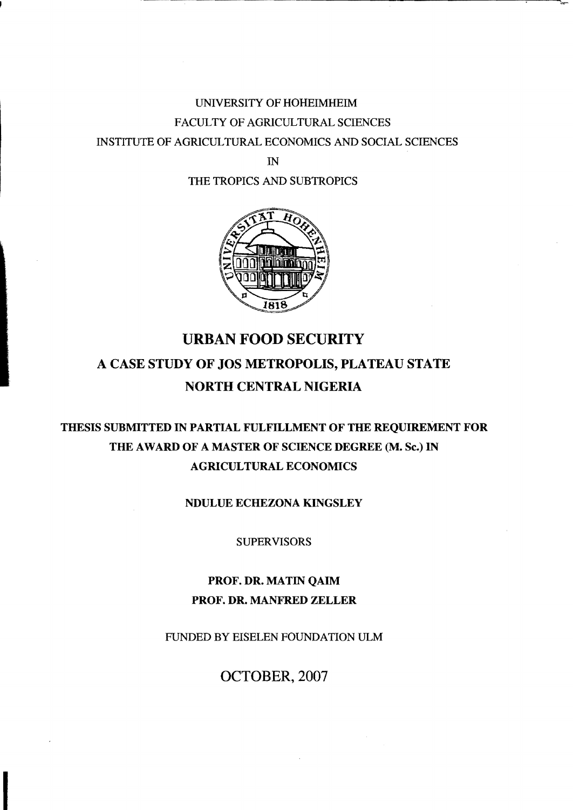## UNIVERSITY OF HOHEIMHEIM FACULTY OF AGRICULTURAL SCIENCES INSTITUTE OF AGRICULTURAL ECONOMICS AND SOCIAL SCIENCES

IN

THE TROPICS AND SUBTROPICS



## URBAN FOOD SECURITY A CASE STUDY OF JOS METROPOLIS, PLATEAU STATE NORTH CENTRAL NIGERIA

## THESIS SUBMITTED IN PARTIAL FULFILLMENT OF THE REQUIREMENT FOR THE AWARD OF A MASTER OF SCIENCE DEGREE (M. Sc.) IN AGRICULTURAL ECONOMICS

NDULUE ECHEZONA KINGSLEY

SUPERVISORS

PROF. DR. MATIN QAIM PROF. DR. MANFRED ZELLER

FUNDED BY EISELEN FOUNDATION ULM

OCTOBER, 2007